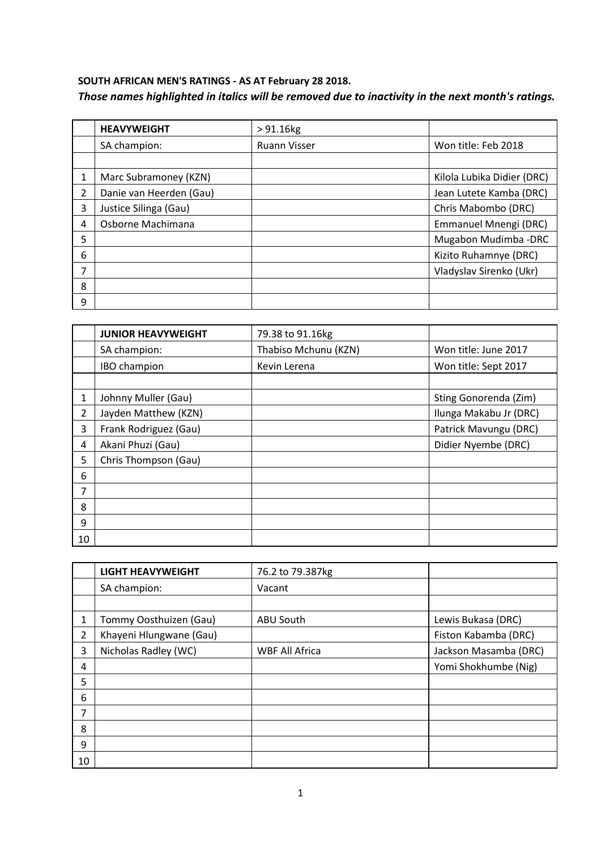## **SOUTH AFRICAN MEN'S RATINGS - AS AT February 28 2018.** *Those names highlighted in italics will be removed due to inactivity in the next month's ratings.*

|                | <b>HEAVYWEIGHT</b>      | $> 91.16$ kg        |                            |
|----------------|-------------------------|---------------------|----------------------------|
|                | SA champion:            | <b>Ruann Visser</b> | Won title: Feb 2018        |
|                |                         |                     |                            |
| 1              | Marc Subramoney (KZN)   |                     | Kilola Lubika Didier (DRC) |
| $\overline{2}$ | Danie van Heerden (Gau) |                     | Jean Lutete Kamba (DRC)    |
| 3              | Justice Silinga (Gau)   |                     | Chris Mabombo (DRC)        |
| 4              | Osborne Machimana       |                     | Emmanuel Mnengi (DRC)      |
| 5              |                         |                     | Mugabon Mudimba - DRC      |
| 6              |                         |                     | Kizito Ruhamnye (DRC)      |
| 7              |                         |                     | Vladyslav Sirenko (Ukr)    |
| 8              |                         |                     |                            |
| 9              |                         |                     |                            |

|                | <b>JUNIOR HEAVYWEIGHT</b> | 79.38 to 91.16kg     |                        |
|----------------|---------------------------|----------------------|------------------------|
|                | SA champion:              | Thabiso Mchunu (KZN) | Won title: June 2017   |
|                | IBO champion              | Kevin Lerena         | Won title: Sept 2017   |
|                |                           |                      |                        |
|                | Johnny Muller (Gau)       |                      | Sting Gonorenda (Zim)  |
| $\overline{2}$ | Jayden Matthew (KZN)      |                      | Ilunga Makabu Jr (DRC) |
| 3              | Frank Rodriguez (Gau)     |                      | Patrick Mavungu (DRC)  |
| 4              | Akani Phuzi (Gau)         |                      | Didier Nyembe (DRC)    |
| 5              | Chris Thompson (Gau)      |                      |                        |
| 6              |                           |                      |                        |
| 7              |                           |                      |                        |
| 8              |                           |                      |                        |
| 9              |                           |                      |                        |
| 10             |                           |                      |                        |

|                | <b>LIGHT HEAVYWEIGHT</b> | 76.2 to 79.387kg      |                       |
|----------------|--------------------------|-----------------------|-----------------------|
|                | SA champion:             | Vacant                |                       |
|                |                          |                       |                       |
| 1              | Tommy Oosthuizen (Gau)   | <b>ABU South</b>      | Lewis Bukasa (DRC)    |
| $\overline{2}$ | Khayeni Hlungwane (Gau)  |                       | Fiston Kabamba (DRC)  |
| 3              | Nicholas Radley (WC)     | <b>WBF All Africa</b> | Jackson Masamba (DRC) |
| 4              |                          |                       | Yomi Shokhumbe (Nig)  |
| 5              |                          |                       |                       |
| 6              |                          |                       |                       |
| 7              |                          |                       |                       |
| 8              |                          |                       |                       |
| 9              |                          |                       |                       |
| 10             |                          |                       |                       |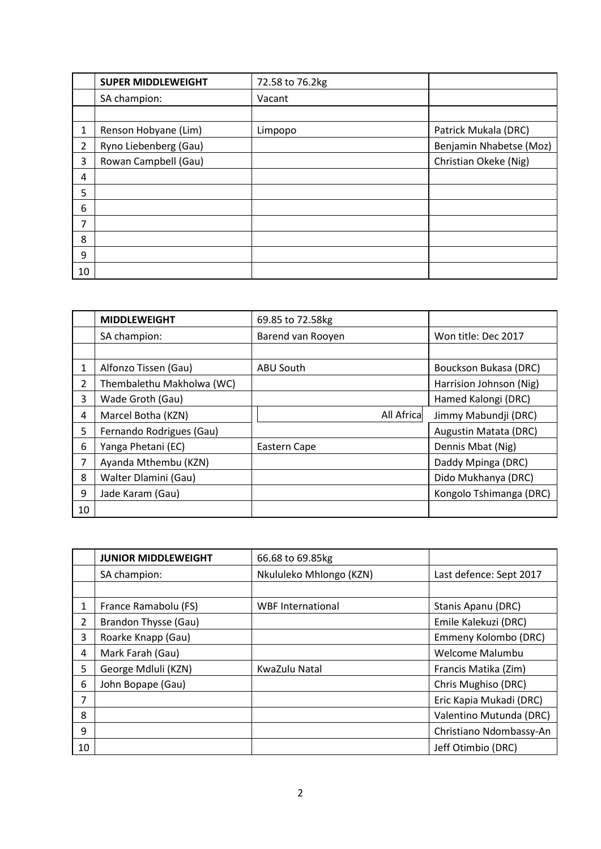|                | <b>SUPER MIDDLEWEIGHT</b> | 72.58 to 76.2kg |                         |
|----------------|---------------------------|-----------------|-------------------------|
|                | SA champion:              | Vacant          |                         |
|                |                           |                 |                         |
| 1              | Renson Hobyane (Lim)      | Limpopo         | Patrick Mukala (DRC)    |
| $\overline{2}$ | Ryno Liebenberg (Gau)     |                 | Benjamin Nhabetse (Moz) |
| 3              | Rowan Campbell (Gau)      |                 | Christian Okeke (Nig)   |
| 4              |                           |                 |                         |
| 5              |                           |                 |                         |
| 6              |                           |                 |                         |
| $\overline{7}$ |                           |                 |                         |
| 8              |                           |                 |                         |
| 9              |                           |                 |                         |
| 10             |                           |                 |                         |

|    | <b>MIDDLEWEIGHT</b>       | 69.85 to 72.58kg  |                         |
|----|---------------------------|-------------------|-------------------------|
|    | SA champion:              | Barend van Rooyen | Won title: Dec 2017     |
|    |                           |                   |                         |
|    | Alfonzo Tissen (Gau)      | ABU South         | Bouckson Bukasa (DRC)   |
| 2  | Thembalethu Makholwa (WC) |                   | Harrision Johnson (Nig) |
| 3  | Wade Groth (Gau)          |                   | Hamed Kalongi (DRC)     |
| 4  | Marcel Botha (KZN)        | All Africa        | Jimmy Mabundji (DRC)    |
| 5  | Fernando Rodrigues (Gau)  |                   | Augustin Matata (DRC)   |
| 6  | Yanga Phetani (EC)        | Eastern Cape      | Dennis Mbat (Nig)       |
| 7  | Ayanda Mthembu (KZN)      |                   | Daddy Mpinga (DRC)      |
| 8  | Walter Dlamini (Gau)      |                   | Dido Mukhanya (DRC)     |
| 9  | Jade Karam (Gau)          |                   | Kongolo Tshimanga (DRC) |
| 10 |                           |                   |                         |

|                | <b>JUNIOR MIDDLEWEIGHT</b> | 66.68 to 69.85kg         |                         |
|----------------|----------------------------|--------------------------|-------------------------|
|                | SA champion:               | Nkululeko Mhlongo (KZN)  | Last defence: Sept 2017 |
|                |                            |                          |                         |
| 1              | France Ramabolu (FS)       | <b>WBF</b> International | Stanis Apanu (DRC)      |
| $\overline{2}$ | Brandon Thysse (Gau)       |                          | Emile Kalekuzi (DRC)    |
| 3              | Roarke Knapp (Gau)         |                          | Emmeny Kolombo (DRC)    |
| 4              | Mark Farah (Gau)           |                          | Welcome Malumbu         |
| 5              | George Mdluli (KZN)        | KwaZulu Natal            | Francis Matika (Zim)    |
| 6              | John Bopape (Gau)          |                          | Chris Mughiso (DRC)     |
| 7              |                            |                          | Eric Kapia Mukadi (DRC) |
| 8              |                            |                          | Valentino Mutunda (DRC) |
| 9              |                            |                          | Christiano Ndombassy-An |
| 10             |                            |                          | Jeff Otimbio (DRC)      |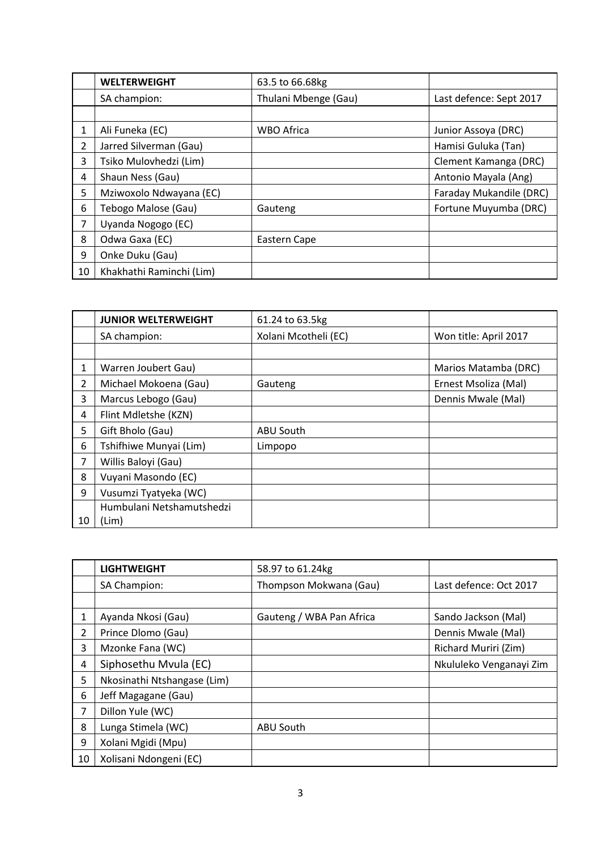|                | <b>WELTERWEIGHT</b>      | 63.5 to 66.68kg      |                         |
|----------------|--------------------------|----------------------|-------------------------|
|                | SA champion:             | Thulani Mbenge (Gau) | Last defence: Sept 2017 |
|                |                          |                      |                         |
| 1              | Ali Funeka (EC)          | <b>WBO Africa</b>    | Junior Assoya (DRC)     |
| $\overline{2}$ | Jarred Silverman (Gau)   |                      | Hamisi Guluka (Tan)     |
| 3              | Tsiko Mulovhedzi (Lim)   |                      | Clement Kamanga (DRC)   |
| 4              | Shaun Ness (Gau)         |                      | Antonio Mayala (Ang)    |
| 5              | Mziwoxolo Ndwayana (EC)  |                      | Faraday Mukandile (DRC) |
| 6              | Tebogo Malose (Gau)      | Gauteng              | Fortune Muyumba (DRC)   |
| 7              | Uyanda Nogogo (EC)       |                      |                         |
| 8              | Odwa Gaxa (EC)           | Eastern Cape         |                         |
| 9              | Onke Duku (Gau)          |                      |                         |
| 10             | Khakhathi Raminchi (Lim) |                      |                         |

|                | <b>JUNIOR WELTERWEIGHT</b> | 61.24 to 63.5kg      |                       |
|----------------|----------------------------|----------------------|-----------------------|
|                | SA champion:               | Xolani Mcotheli (EC) | Won title: April 2017 |
|                |                            |                      |                       |
| 1              | Warren Joubert Gau)        |                      | Marios Matamba (DRC)  |
| $\overline{2}$ | Michael Mokoena (Gau)      | Gauteng              | Ernest Msoliza (Mal)  |
| 3              | Marcus Lebogo (Gau)        |                      | Dennis Mwale (Mal)    |
| 4              | Flint Mdletshe (KZN)       |                      |                       |
| 5              | Gift Bholo (Gau)           | ABU South            |                       |
| 6              | Tshifhiwe Munyai (Lim)     | Limpopo              |                       |
| 7              | Willis Baloyi (Gau)        |                      |                       |
| 8              | Vuyani Masondo (EC)        |                      |                       |
| 9              | Vusumzi Tyatyeka (WC)      |                      |                       |
|                | Humbulani Netshamutshedzi  |                      |                       |
| 10             | (Lim)                      |                      |                       |

|                | <b>LIGHTWEIGHT</b>          | 58.97 to 61.24kg         |                         |
|----------------|-----------------------------|--------------------------|-------------------------|
|                | SA Champion:                | Thompson Mokwana (Gau)   | Last defence: Oct 2017  |
|                |                             |                          |                         |
| 1              | Ayanda Nkosi (Gau)          | Gauteng / WBA Pan Africa | Sando Jackson (Mal)     |
| $\overline{2}$ | Prince Dlomo (Gau)          |                          | Dennis Mwale (Mal)      |
| 3              | Mzonke Fana (WC)            |                          | Richard Muriri (Zim)    |
| 4              | Siphosethu Mvula (EC)       |                          | Nkululeko Venganayi Zim |
| 5              | Nkosinathi Ntshangase (Lim) |                          |                         |
| 6              | Jeff Magagane (Gau)         |                          |                         |
| 7              | Dillon Yule (WC)            |                          |                         |
| 8              | Lunga Stimela (WC)          | ABU South                |                         |
| 9              | Xolani Mgidi (Mpu)          |                          |                         |
| 10             | Xolisani Ndongeni (EC)      |                          |                         |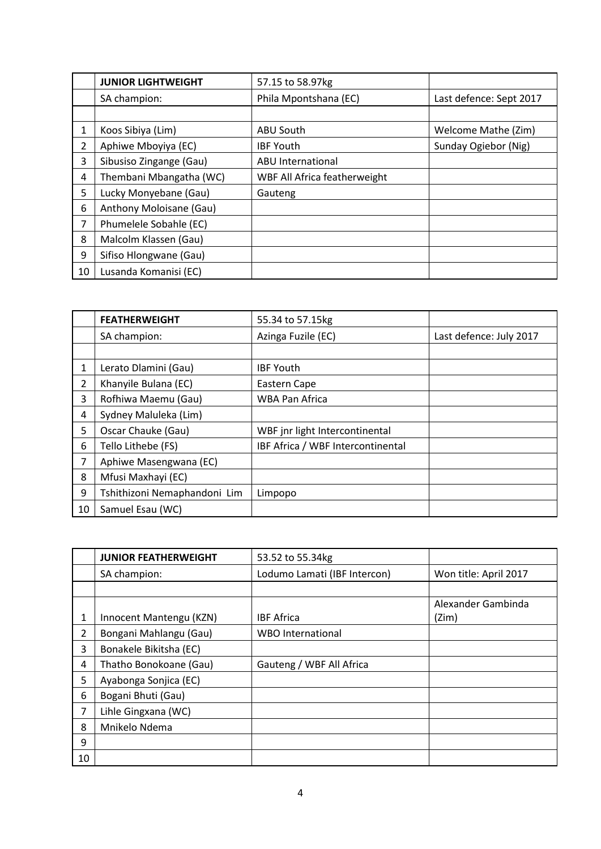|                | <b>JUNIOR LIGHTWEIGHT</b> | 57.15 to 58.97kg             |                         |
|----------------|---------------------------|------------------------------|-------------------------|
|                | SA champion:              | Phila Mpontshana (EC)        | Last defence: Sept 2017 |
|                |                           |                              |                         |
| 1              | Koos Sibiya (Lim)         | ABU South                    | Welcome Mathe (Zim)     |
| $\overline{2}$ | Aphiwe Mboyiya (EC)       | <b>IBF Youth</b>             | Sunday Ogiebor (Nig)    |
| 3              | Sibusiso Zingange (Gau)   | ABU International            |                         |
| 4              | Thembani Mbangatha (WC)   | WBF All Africa featherweight |                         |
| 5              | Lucky Monyebane (Gau)     | Gauteng                      |                         |
| 6              | Anthony Moloisane (Gau)   |                              |                         |
| 7              | Phumelele Sobahle (EC)    |                              |                         |
| 8              | Malcolm Klassen (Gau)     |                              |                         |
| 9              | Sifiso Hlongwane (Gau)    |                              |                         |
| 10             | Lusanda Komanisi (EC)     |                              |                         |

|                | <b>FEATHERWEIGHT</b>         | 55.34 to 57.15kg                  |                         |
|----------------|------------------------------|-----------------------------------|-------------------------|
|                | SA champion:                 | Azinga Fuzile (EC)                | Last defence: July 2017 |
|                |                              |                                   |                         |
| 1              | Lerato Dlamini (Gau)         | <b>IBF Youth</b>                  |                         |
| $\overline{2}$ | Khanyile Bulana (EC)         | Eastern Cape                      |                         |
| 3              | Rofhiwa Maemu (Gau)          | <b>WBA Pan Africa</b>             |                         |
| 4              | Sydney Maluleka (Lim)        |                                   |                         |
| 5              | Oscar Chauke (Gau)           | WBF jnr light Intercontinental    |                         |
| 6              | Tello Lithebe (FS)           | IBF Africa / WBF Intercontinental |                         |
| 7              | Aphiwe Masengwana (EC)       |                                   |                         |
| 8              | Mfusi Maxhayi (EC)           |                                   |                         |
| 9              | Tshithizoni Nemaphandoni Lim | Limpopo                           |                         |
| 10             | Samuel Esau (WC)             |                                   |                         |

|    | <b>JUNIOR FEATHERWEIGHT</b> | 53.52 to 55.34kg             |                             |
|----|-----------------------------|------------------------------|-----------------------------|
|    | SA champion:                | Lodumo Lamati (IBF Intercon) | Won title: April 2017       |
|    |                             |                              |                             |
| 1  | Innocent Mantengu (KZN)     | <b>IBF Africa</b>            | Alexander Gambinda<br>(Zim) |
| 2  | Bongani Mahlangu (Gau)      | <b>WBO</b> International     |                             |
| 3  | Bonakele Bikitsha (EC)      |                              |                             |
| 4  | Thatho Bonokoane (Gau)      | Gauteng / WBF All Africa     |                             |
| 5  | Ayabonga Sonjica (EC)       |                              |                             |
| 6  | Bogani Bhuti (Gau)          |                              |                             |
| 7  | Lihle Gingxana (WC)         |                              |                             |
| 8  | Mnikelo Ndema               |                              |                             |
| 9  |                             |                              |                             |
| 10 |                             |                              |                             |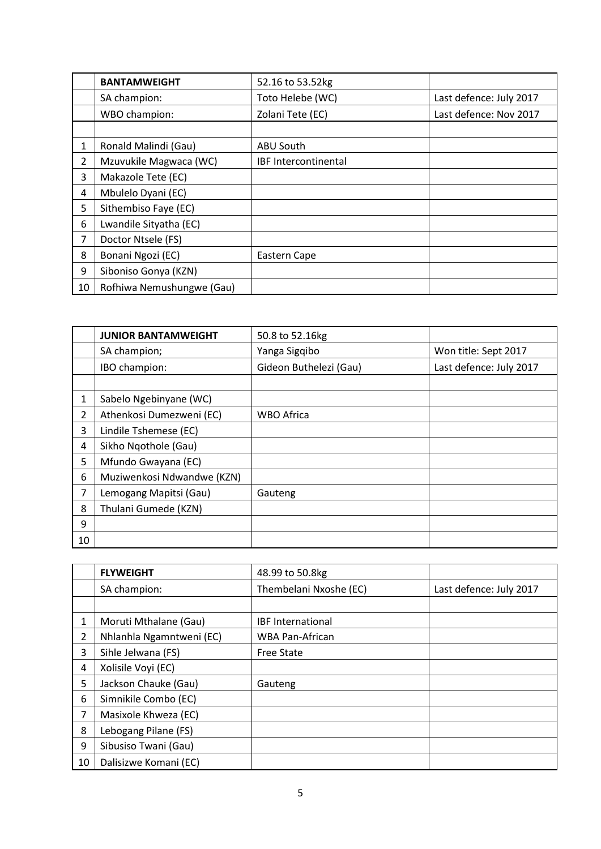|    | <b>BANTAMWEIGHT</b>       | 52.16 to 53.52kg            |                         |
|----|---------------------------|-----------------------------|-------------------------|
|    | SA champion:              | Toto Helebe (WC)            | Last defence: July 2017 |
|    | WBO champion:             | Zolani Tete (EC)            | Last defence: Nov 2017  |
|    |                           |                             |                         |
| 1  | Ronald Malindi (Gau)      | <b>ABU South</b>            |                         |
| 2  | Mzuvukile Magwaca (WC)    | <b>IBF Intercontinental</b> |                         |
| 3  | Makazole Tete (EC)        |                             |                         |
| 4  | Mbulelo Dyani (EC)        |                             |                         |
| 5  | Sithembiso Faye (EC)      |                             |                         |
| 6  | Lwandile Sityatha (EC)    |                             |                         |
| 7  | Doctor Ntsele (FS)        |                             |                         |
| 8  | Bonani Ngozi (EC)         | Eastern Cape                |                         |
| 9  | Siboniso Gonya (KZN)      |                             |                         |
| 10 | Rofhiwa Nemushungwe (Gau) |                             |                         |

|                | <b>JUNIOR BANTAMWEIGHT</b> | 50.8 to 52.16kg        |                         |
|----------------|----------------------------|------------------------|-------------------------|
|                | SA champion;               | Yanga Sigqibo          | Won title: Sept 2017    |
|                | IBO champion:              | Gideon Buthelezi (Gau) | Last defence: July 2017 |
|                |                            |                        |                         |
| 1              | Sabelo Ngebinyane (WC)     |                        |                         |
| $\overline{2}$ | Athenkosi Dumezweni (EC)   | <b>WBO Africa</b>      |                         |
| 3              | Lindile Tshemese (EC)      |                        |                         |
| 4              | Sikho Ngothole (Gau)       |                        |                         |
| 5              | Mfundo Gwayana (EC)        |                        |                         |
| 6              | Muziwenkosi Ndwandwe (KZN) |                        |                         |
| 7              | Lemogang Mapitsi (Gau)     | Gauteng                |                         |
| 8              | Thulani Gumede (KZN)       |                        |                         |
| 9              |                            |                        |                         |
| 10             |                            |                        |                         |

|                | <b>FLYWEIGHT</b>         | 48.99 to 50.8kg          |                         |
|----------------|--------------------------|--------------------------|-------------------------|
|                | SA champion:             | Thembelani Nxoshe (EC)   | Last defence: July 2017 |
|                |                          |                          |                         |
| 1              | Moruti Mthalane (Gau)    | <b>IBF International</b> |                         |
| $\overline{2}$ | Nhlanhla Ngamntweni (EC) | <b>WBA Pan-African</b>   |                         |
| 3              | Sihle Jelwana (FS)       | <b>Free State</b>        |                         |
| 4              | Xolisile Voyi (EC)       |                          |                         |
| 5              | Jackson Chauke (Gau)     | Gauteng                  |                         |
| 6              | Simnikile Combo (EC)     |                          |                         |
| 7              | Masixole Khweza (EC)     |                          |                         |
| 8              | Lebogang Pilane (FS)     |                          |                         |
| 9              | Sibusiso Twani (Gau)     |                          |                         |
| 10             | Dalisizwe Komani (EC)    |                          |                         |